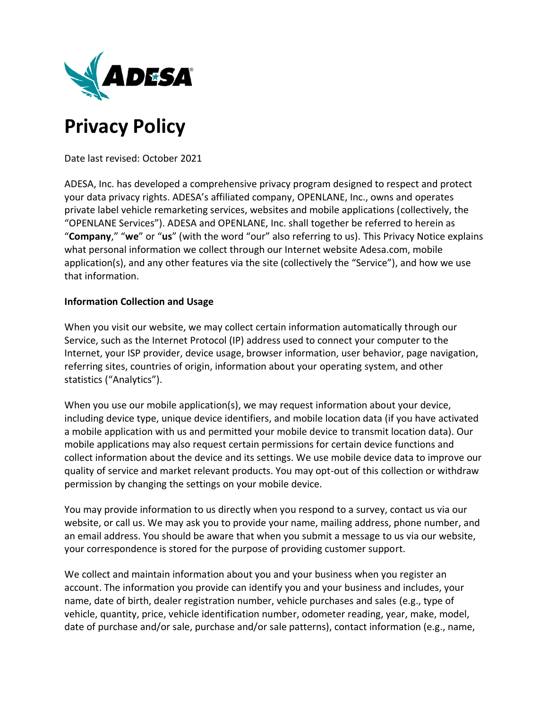

# **Privacy Policy**

Date last revised: October 2021

ADESA, Inc. has developed a comprehensive privacy program designed to respect and protect your data privacy rights. ADESA's affiliated company, OPENLANE, Inc., owns and operates private label vehicle remarketing services, websites and mobile applications (collectively, the "OPENLANE Services"). ADESA and OPENLANE, Inc. shall together be referred to herein as "**Company**," "**we**" or "**us**" (with the word "our" also referring to us). This Privacy Notice explains what personal information we collect through our Internet website Adesa.com, mobile application(s), and any other features via the site (collectively the "Service"), and how we use that information.

## **Information Collection and Usage**

When you visit our website, we may collect certain information automatically through our Service, such as the Internet Protocol (IP) address used to connect your computer to the Internet, your ISP provider, device usage, browser information, user behavior, page navigation, referring sites, countries of origin, information about your operating system, and other statistics ("Analytics").

When you use our mobile application(s), we may request information about your device, including device type, unique device identifiers, and mobile location data (if you have activated a mobile application with us and permitted your mobile device to transmit location data). Our mobile applications may also request certain permissions for certain device functions and collect information about the device and its settings. We use mobile device data to improve our quality of service and market relevant products. You may opt-out of this collection or withdraw permission by changing the settings on your mobile device.

You may provide information to us directly when you respond to a survey, contact us via our website, or call us. We may ask you to provide your name, mailing address, phone number, and an email address. You should be aware that when you submit a message to us via our website, your correspondence is stored for the purpose of providing customer support.

We collect and maintain information about you and your business when you register an account. The information you provide can identify you and your business and includes, your name, date of birth, dealer registration number, vehicle purchases and sales (e.g., type of vehicle, quantity, price, vehicle identification number, odometer reading, year, make, model, date of purchase and/or sale, purchase and/or sale patterns), contact information (e.g., name,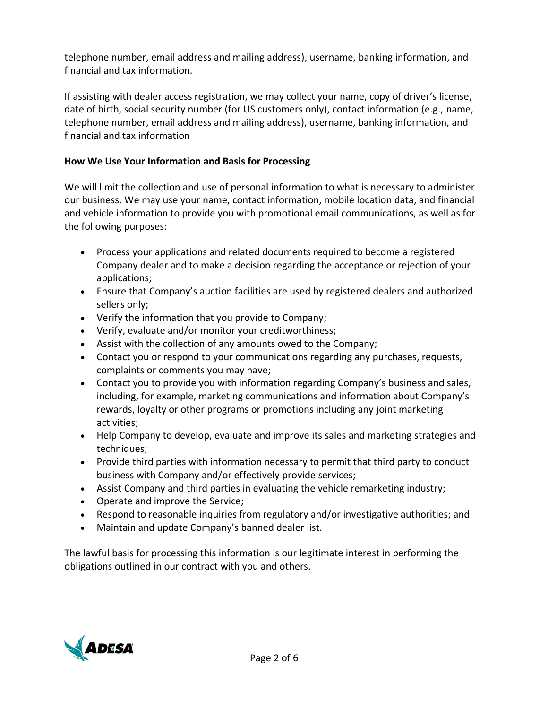telephone number, email address and mailing address), username, banking information, and financial and tax information.

If assisting with dealer access registration, we may collect your name, copy of driver's license, date of birth, social security number (for US customers only), contact information (e.g., name, telephone number, email address and mailing address), username, banking information, and financial and tax information

# **How We Use Your Information and Basis for Processing**

We will limit the collection and use of personal information to what is necessary to administer our business. We may use your name, contact information, mobile location data, and financial and vehicle information to provide you with promotional email communications, as well as for the following purposes:

- Process your applications and related documents required to become a registered Company dealer and to make a decision regarding the acceptance or rejection of your applications;
- Ensure that Company's auction facilities are used by registered dealers and authorized sellers only;
- Verify the information that you provide to Company;
- Verify, evaluate and/or monitor your creditworthiness;
- Assist with the collection of any amounts owed to the Company;
- Contact you or respond to your communications regarding any purchases, requests, complaints or comments you may have;
- Contact you to provide you with information regarding Company's business and sales, including, for example, marketing communications and information about Company's rewards, loyalty or other programs or promotions including any joint marketing activities;
- Help Company to develop, evaluate and improve its sales and marketing strategies and techniques;
- Provide third parties with information necessary to permit that third party to conduct business with Company and/or effectively provide services;
- Assist Company and third parties in evaluating the vehicle remarketing industry;
- Operate and improve the Service;
- Respond to reasonable inquiries from regulatory and/or investigative authorities; and
- Maintain and update Company's banned dealer list.

The lawful basis for processing this information is our legitimate interest in performing the obligations outlined in our contract with you and others.

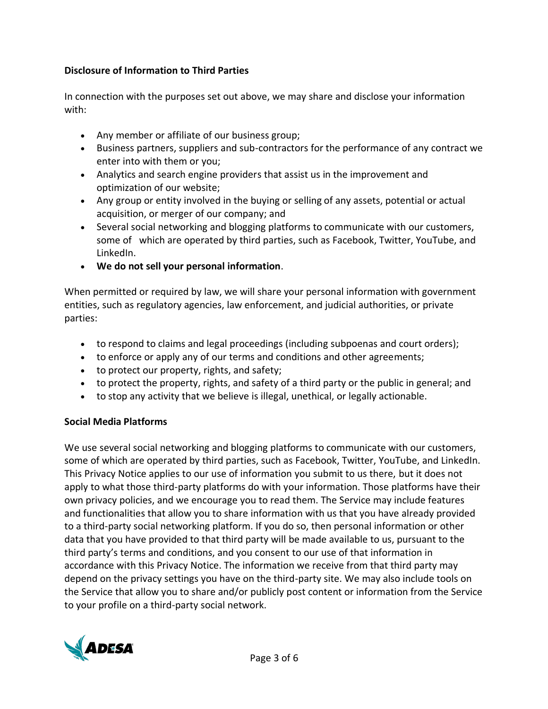# **Disclosure of Information to Third Parties**

In connection with the purposes set out above, we may share and disclose your information with:

- Any member or affiliate of our business group;
- Business partners, suppliers and sub-contractors for the performance of any contract we enter into with them or you;
- Analytics and search engine providers that assist us in the improvement and optimization of our website;
- Any group or entity involved in the buying or selling of any assets, potential or actual acquisition, or merger of our company; and
- Several social networking and blogging platforms to communicate with our customers, some of which are operated by third parties, such as Facebook, Twitter, YouTube, and LinkedIn.
- **We do not sell your personal information**.

When permitted or required by law, we will share your personal information with government entities, such as regulatory agencies, law enforcement, and judicial authorities, or private parties:

- to respond to claims and legal proceedings (including subpoenas and court orders);
- to enforce or apply any of our terms and conditions and other agreements;
- to protect our property, rights, and safety;
- to protect the property, rights, and safety of a third party or the public in general; and
- to stop any activity that we believe is illegal, unethical, or legally actionable.

# **Social Media Platforms**

We use several social networking and blogging platforms to communicate with our customers, some of which are operated by third parties, such as Facebook, Twitter, YouTube, and LinkedIn. This Privacy Notice applies to our use of information you submit to us there, but it does not apply to what those third-party platforms do with your information. Those platforms have their own privacy policies, and we encourage you to read them. The Service may include features and functionalities that allow you to share information with us that you have already provided to a third-party social networking platform. If you do so, then personal information or other data that you have provided to that third party will be made available to us, pursuant to the third party's terms and conditions, and you consent to our use of that information in accordance with this Privacy Notice. The information we receive from that third party may depend on the privacy settings you have on the third-party site. We may also include tools on the Service that allow you to share and/or publicly post content or information from the Service to your profile on a third-party social network.

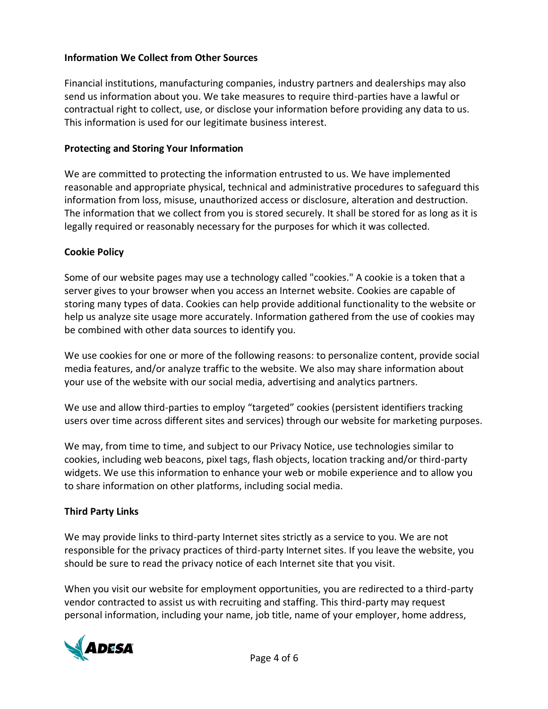## **Information We Collect from Other Sources**

Financial institutions, manufacturing companies, industry partners and dealerships may also send us information about you. We take measures to require third-parties have a lawful or contractual right to collect, use, or disclose your information before providing any data to us. This information is used for our legitimate business interest.

## **Protecting and Storing Your Information**

We are committed to protecting the information entrusted to us. We have implemented reasonable and appropriate physical, technical and administrative procedures to safeguard this information from loss, misuse, unauthorized access or disclosure, alteration and destruction. The information that we collect from you is stored securely. It shall be stored for as long as it is legally required or reasonably necessary for the purposes for which it was collected.

## **Cookie Policy**

Some of our website pages may use a technology called "cookies." A cookie is a token that a server gives to your browser when you access an Internet website. Cookies are capable of storing many types of data. Cookies can help provide additional functionality to the website or help us analyze site usage more accurately. Information gathered from the use of cookies may be combined with other data sources to identify you.

We use cookies for one or more of the following reasons: to personalize content, provide social media features, and/or analyze traffic to the website. We also may share information about your use of the website with our social media, advertising and analytics partners.

We use and allow third-parties to employ "targeted" cookies (persistent identifiers tracking users over time across different sites and services) through our website for marketing purposes.

We may, from time to time, and subject to our Privacy Notice, use technologies similar to cookies, including web beacons, pixel tags, flash objects, location tracking and/or third-party widgets. We use this information to enhance your web or mobile experience and to allow you to share information on other platforms, including social media.

# **Third Party Links**

We may provide links to third-party Internet sites strictly as a service to you. We are not responsible for the privacy practices of third-party Internet sites. If you leave the website, you should be sure to read the privacy notice of each Internet site that you visit.

When you visit our website for employment opportunities, you are redirected to a third-party vendor contracted to assist us with recruiting and staffing. This third-party may request personal information, including your name, job title, name of your employer, home address,

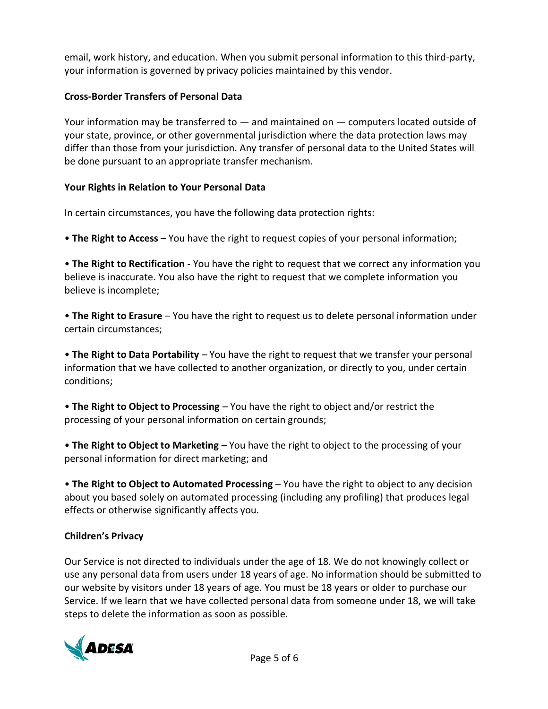email, work history, and education. When you submit personal information to this third-party, your information is governed by privacy policies maintained by this vendor.

# **Cross-Border Transfers of Personal Data**

Your information may be transferred to  $-$  and maintained on  $-$  computers located outside of your state, province, or other governmental jurisdiction where the data protection laws may differ than those from your jurisdiction. Any transfer of personal data to the United States will be done pursuant to an appropriate transfer mechanism.

# **Your Rights in Relation to Your Personal Data**

In certain circumstances, you have the following data protection rights:

• **The Right to Access** – You have the right to request copies of your personal information;

• **The Right to Rectification** - You have the right to request that we correct any information you believe is inaccurate. You also have the right to request that we complete information you believe is incomplete;

• **The Right to Erasure** – You have the right to request us to delete personal information under certain circumstances;

• **The Right to Data Portability** – You have the right to request that we transfer your personal information that we have collected to another organization, or directly to you, under certain conditions;

• **The Right to Object to Processing** – You have the right to object and/or restrict the processing of your personal information on certain grounds;

• **The Right to Object to Marketing** – You have the right to object to the processing of your personal information for direct marketing; and

• **The Right to Object to Automated Processing** – You have the right to object to any decision about you based solely on automated processing (including any profiling) that produces legal effects or otherwise significantly affects you.

# **Children's Privacy**

Our Service is not directed to individuals under the age of 18. We do not knowingly collect or use any personal data from users under 18 years of age. No information should be submitted to our website by visitors under 18 years of age. You must be 18 years or older to purchase our Service. If we learn that we have collected personal data from someone under 18, we will take steps to delete the information as soon as possible.